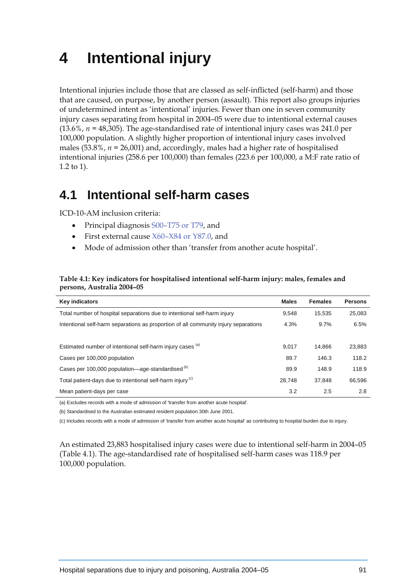# **4 Intentional injury**

Intentional injuries include those that are classed as self-inflicted (self-harm) and those that are caused, on purpose, by another person (assault). This report also groups injuries of undetermined intent as 'intentional' injuries. Fewer than one in seven community injury cases separating from hospital in 2004–05 were due to intentional external causes  $(13.6\%, n = 48,305)$ . The age-standardised rate of intentional injury cases was 241.0 per 100,000 population. A slightly higher proportion of intentional injury cases involved males (53.8%, *n =* 26,001) and, accordingly, males had a higher rate of hospitalised intentional injuries (258.6 per 100,000) than females (223.6 per 100,000, a M:F rate ratio of 1.2 to 1).

## **4.1 Intentional self-harm cases**

ICD-10-AM inclusion criteria:

- Principal diagnosis S00–T75 or T79, and
- First external cause X60–X84 or Y87.0, and
- Mode of admission other than 'transfer from another acute hospital'.

#### **Table 4.1: Key indicators for hospitalised intentional self-harm injury: males, females and persons, Australia 2004–05**

| <b>Key indicators</b>                                                               | <b>Males</b> | <b>Females</b> | <b>Persons</b> |
|-------------------------------------------------------------------------------------|--------------|----------------|----------------|
| Total number of hospital separations due to intentional self-harm injury            | 9.548        | 15.535         | 25.083         |
| Intentional self-harm separations as proportion of all community injury separations | 4.3%         | 9.7%           | 6.5%           |
|                                                                                     |              |                |                |
| Estimated number of intentional self-harm injury cases (a)                          | 9,017        | 14.866         | 23,883         |
| Cases per 100,000 population                                                        | 89.7         | 146.3          | 118.2          |
| Cases per 100,000 population—age-standardised <sup>(b)</sup>                        | 89.9         | 148.9          | 118.9          |
| Total patient-days due to intentional self-harm injury <sup>(c)</sup>               | 28.748       | 37.848         | 66,596         |
| Mean patient-days per case                                                          | 3.2          | 2.5            | 2.8            |

(a) Excludes records with a mode of admission of 'transfer from another acute hospital'.

(b) Standardised to the Australian estimated resident population 30th June 2001.

(c) Includes records with a mode of admission of 'transfer from another acute hospital' as contributing to hospital burden due to injury.

An estimated 23,883 hospitalised injury cases were due to intentional self-harm in 2004–05 (Table 4.1). The age-standardised rate of hospitalised self-harm cases was 118.9 per 100,000 population.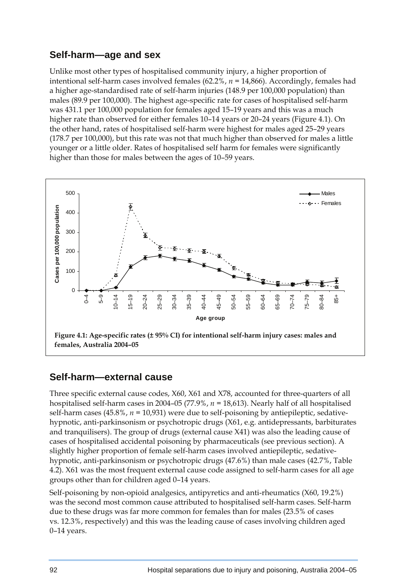#### **Self-harm—age and sex**

Unlike most other types of hospitalised community injury, a higher proportion of intentional self-harm cases involved females (62.2%, *n =* 14,866). Accordingly, females had a higher age-standardised rate of self-harm injuries (148.9 per 100,000 population) than males (89.9 per 100,000). The highest age-specific rate for cases of hospitalised self-harm was 431.1 per 100,000 population for females aged 15–19 years and this was a much higher rate than observed for either females 10–14 years or 20–24 years (Figure 4.1). On the other hand, rates of hospitalised self-harm were highest for males aged 25–29 years (178.7 per 100,000), but this rate was not that much higher than observed for males a little younger or a little older. Rates of hospitalised self harm for females were significantly higher than those for males between the ages of 10–59 years.



#### **Self-harm—external cause**

Three specific external cause codes, X60, X61 and X78, accounted for three-quarters of all hospitalised self-harm cases in 2004–05 (77.9%, *n =* 18,613). Nearly half of all hospitalised self-harm cases (45.8%, *n =* 10,931) were due to self-poisoning by antiepileptic, sedativehypnotic, anti-parkinsonism or psychotropic drugs (X61, e.g. antidepressants, barbiturates and tranquilisers). The group of drugs (external cause X41) was also the leading cause of cases of hospitalised accidental poisoning by pharmaceuticals (see previous section). A slightly higher proportion of female self-harm cases involved antiepileptic, sedativehypnotic, anti-parkinsonism or psychotropic drugs (47.6%) than male cases (42.7%, Table 4.2). X61 was the most frequent external cause code assigned to self-harm cases for all age groups other than for children aged 0–14 years.

Self-poisoning by non-opioid analgesics, antipyretics and anti-rheumatics (X60, 19.2%) was the second most common cause attributed to hospitalised self-harm cases. Self-harm due to these drugs was far more common for females than for males (23.5% of cases vs. 12.3%, respectively) and this was the leading cause of cases involving children aged 0–14 years.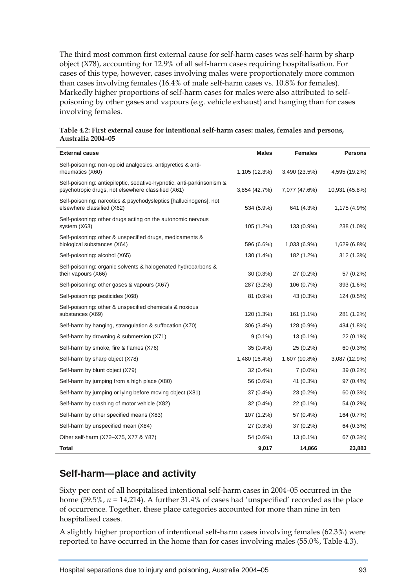The third most common first external cause for self-harm cases was self-harm by sharp object (X78), accounting for 12.9% of all self-harm cases requiring hospitalisation. For cases of this type, however, cases involving males were proportionately more common than cases involving females (16.4% of male self-harm cases vs. 10.8% for females). Markedly higher proportions of self-harm cases for males were also attributed to selfpoisoning by other gases and vapours (e.g. vehicle exhaust) and hanging than for cases involving females.

| <b>External cause</b>                                                                                                       | <b>Males</b>  | <b>Females</b> | <b>Persons</b> |
|-----------------------------------------------------------------------------------------------------------------------------|---------------|----------------|----------------|
| Self-poisoning: non-opioid analgesics, antipyretics & anti-<br>rheumatics (X60)                                             | 1,105 (12.3%) | 3,490 (23.5%)  | 4,595 (19.2%)  |
| Self-poisoning: antiepileptic, sedative-hypnotic, anti-parkinsonism &<br>psychotropic drugs, not elsewhere classified (X61) | 3,854 (42.7%) | 7,077 (47.6%)  | 10,931 (45.8%) |
| Self-poisoning: narcotics & psychodysleptics [hallucinogens], not<br>elsewhere classified (X62)                             | 534 (5.9%)    | 641 (4.3%)     | 1,175 (4.9%)   |
| Self-poisoning: other drugs acting on the autonomic nervous<br>system (X63)                                                 | 105 (1.2%)    | 133 (0.9%)     | 238 (1.0%)     |
| Self-poisoning: other & unspecified drugs, medicaments &<br>biological substances (X64)                                     | 596 (6.6%)    | 1,033 (6.9%)   | 1,629 (6.8%)   |
| Self-poisoning: alcohol (X65)                                                                                               | 130 (1.4%)    | 182 (1.2%)     | 312 (1.3%)     |
| Self-poisoning: organic solvents & halogenated hydrocarbons &<br>their vapours (X66)                                        | $30(0.3\%)$   | 27 (0.2%)      | 57 (0.2%)      |
| Self-poisoning: other gases & vapours (X67)                                                                                 | 287 (3.2%)    | 106 (0.7%)     | 393 (1.6%)     |
| Self-poisoning: pesticides (X68)                                                                                            | 81 (0.9%)     | 43 (0.3%)      | 124 (0.5%)     |
| Self-poisoning: other & unspecified chemicals & noxious<br>substances (X69)                                                 | 120 (1.3%)    | 161 (1.1%)     | 281 (1.2%)     |
| Self-harm by hanging, strangulation & suffocation (X70)                                                                     | 306 (3.4%)    | 128 (0.9%)     | 434 (1.8%)     |
| Self-harm by drowning & submersion (X71)                                                                                    | $9(0.1\%)$    | $13(0.1\%)$    | 22 (0.1%)      |
| Self-harm by smoke, fire & flames (X76)                                                                                     | 35 (0.4%)     | 25 (0.2%)      | 60 (0.3%)      |
| Self-harm by sharp object (X78)                                                                                             | 1,480 (16.4%) | 1,607 (10.8%)  | 3,087 (12.9%)  |
| Self-harm by blunt object (X79)                                                                                             | $32(0.4\%)$   | $7(0.0\%)$     | 39 (0.2%)      |
| Self-harm by jumping from a high place (X80)                                                                                | 56 (0.6%)     | 41 (0.3%)      | 97 (0.4%)      |
| Self-harm by jumping or lying before moving object (X81)                                                                    | 37 (0.4%)     | 23 (0.2%)      | 60 (0.3%)      |
| Self-harm by crashing of motor vehicle (X82)                                                                                | 32 (0.4%)     | 22 (0.1%)      | 54 (0.2%)      |
| Self-harm by other specified means (X83)                                                                                    | 107 (1.2%)    | 57 (0.4%)      | 164 (0.7%)     |
| Self-harm by unspecified mean (X84)                                                                                         | 27 (0.3%)     | 37 (0.2%)      | 64 (0.3%)      |
| Other self-harm (X72-X75, X77 & Y87)                                                                                        | 54 (0.6%)     | 13 (0.1%)      | 67 (0.3%)      |
| Total                                                                                                                       | 9,017         | 14,866         | 23,883         |

**Table 4.2: First external cause for intentional self-harm cases: males, females and persons, Australia 2004–05** 

## **Self-harm—place and activity**

Sixty per cent of all hospitalised intentional self-harm cases in 2004–05 occurred in the home (59.5%, *n =* 14,214). A further 31.4% of cases had 'unspecified' recorded as the place of occurrence. Together, these place categories accounted for more than nine in ten hospitalised cases.

A slightly higher proportion of intentional self-harm cases involving females (62.3%) were reported to have occurred in the home than for cases involving males (55.0%, Table 4.3).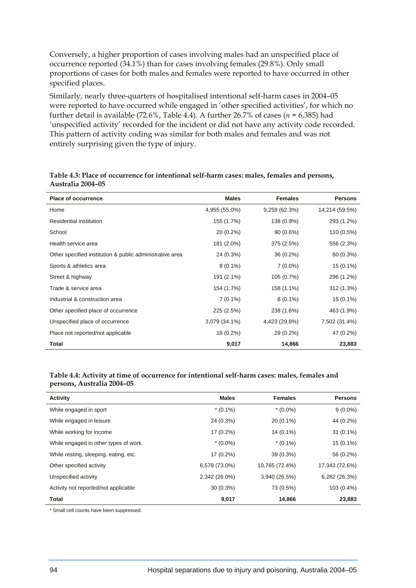Conversely, a higher proportion of cases involving males had an unspecified place of occurrence reported (34.1%) than for cases involving females (29.8%). Only small proportions of cases for both males and females were reported to have occurred in other specified places.

Similarly, nearly three-quarters of hospitalised intentional self-harm cases in 2004–05 were reported to have occurred while engaged in 'other specified activities', for which no further detail is available  $(72.6\%$ , Table 4.4). A further 26.7% of cases  $(n = 6,385)$  had 'unspecified activity' recorded for the incident or did not have any activity code recorded. This pattern of activity coding was similar for both males and females and was not entirely surprising given the type of injury.

| <b>Place of occurrence</b>                               | <b>Males</b>  | <b>Females</b> | <b>Persons</b> |
|----------------------------------------------------------|---------------|----------------|----------------|
| Home                                                     | 4,955 (55.0%) | 9,259(62.3%)   | 14,214 (59.5%) |
| Residential institution                                  | 155 (1.7%)    | 138 (0.9%)     | 293 (1.2%)     |
| School                                                   | 20 (0.2%)     | $90(0.6\%)$    | 110 (0.5%)     |
| Health service area                                      | 181 (2.0%)    | 375 (2.5%)     | 556 (2.3%)     |
| Other specified institution & public administrative area | 24 (0.3%)     | 36 (0.2%)      | 60 (0.3%)      |
| Sports & athletics area                                  | $8(0.1\%)$    | $7(0.0\%)$     | 15 (0.1%)      |
| Street & highway                                         | 191 (2.1%)    | 105 (0.7%)     | 296 (1.2%)     |
| Trade & service area                                     | 154 (1.7%)    | 158 (1.1%)     | 312 (1.3%)     |
| Industrial & construction area                           | $7(0.1\%)$    | $8(0.1\%)$     | 15 (0.1%)      |
| Other specified place of occurrence                      | 225 (2.5%)    | 238 (1.6%)     | 463 (1.9%)     |
| Unspecified place of occurrence                          | 3,079 (34.1%) | 4,423 (29.8%)  | 7,502 (31.4%)  |
| Place not reported/not applicable                        | 18 (0.2%)     | 29 (0.2%)      | 47 (0.2%)      |
| <b>Total</b>                                             | 9,017         | 14,866         | 23,883         |

#### **Table 4.3: Place of occurrence for intentional self-harm cases: males, females and persons, Australia 2004–05**

#### **Table 4.4: Activity at time of occurrence for intentional self-harm cases: males, females and persons, Australia 2004–05**

| Activity                              | <b>Males</b>  | <b>Females</b> | <b>Persons</b> |
|---------------------------------------|---------------|----------------|----------------|
| While engaged in sport                | $*(0.1\%)$    | $*(0.0\%)$     | $9(0.0\%)$     |
| While engaged in leisure              | 24 (0.3%)     | 20 (0.1%)      | 44 (0.2%)      |
| While working for income              | 17 (0.2%)     | 14 (0.1%)      | $31(0.1\%)$    |
| While engaged in other types of work  | $*(0.0\%)$    | $*(0.1\%)$     | $15(0.1\%)$    |
| While resting, sleeping, eating, etc. | 17 (0.2%)     | $39(0.3\%)$    | 56 (0.2%)      |
| Other specified activity              | 6,578 (73.0%) | 10,765 (72.4%) | 17,343 (72.6%) |
| Unspecified activity                  | 2,342 (26.0%) | 3,940 (26.5%)  | 6,282 (26.3%)  |
| Activity not reported/not applicable  | $30(0.3\%)$   | 73 (0.5%)      | 103 (0.4%)     |
| Total                                 | 9,017         | 14,866         | 23,883         |

\* Small cell counts have been suppressed.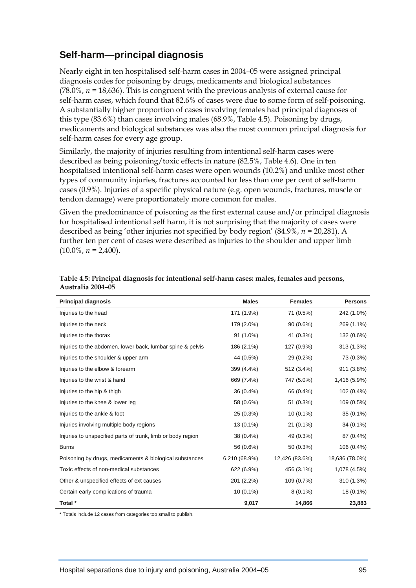## **Self-harm—principal diagnosis**

Nearly eight in ten hospitalised self-harm cases in 2004–05 were assigned principal diagnosis codes for poisoning by drugs, medicaments and biological substances (78.0%, *n =* 18,636). This is congruent with the previous analysis of external cause for self-harm cases, which found that 82.6% of cases were due to some form of self-poisoning. A substantially higher proportion of cases involving females had principal diagnoses of this type (83.6%) than cases involving males (68.9%, Table 4.5). Poisoning by drugs, medicaments and biological substances was also the most common principal diagnosis for self-harm cases for every age group.

Similarly, the majority of injuries resulting from intentional self-harm cases were described as being poisoning/toxic effects in nature (82.5%, Table 4.6). One in ten hospitalised intentional self-harm cases were open wounds (10.2%) and unlike most other types of community injuries, fractures accounted for less than one per cent of self-harm cases (0.9%). Injuries of a specific physical nature (e.g. open wounds, fractures, muscle or tendon damage) were proportionately more common for males.

Given the predominance of poisoning as the first external cause and/or principal diagnosis for hospitalised intentional self harm, it is not surprising that the majority of cases were described as being 'other injuries not specified by body region' (84.9%, *n =* 20,281). A further ten per cent of cases were described as injuries to the shoulder and upper limb  $(10.0\%, n = 2,400).$ 

| <b>Principal diagnosis</b>                                  | <b>Males</b>  | <b>Females</b> | <b>Persons</b> |
|-------------------------------------------------------------|---------------|----------------|----------------|
| Injuries to the head                                        | 171 (1.9%)    | 71 (0.5%)      | 242 (1.0%)     |
| Injuries to the neck                                        | 179 (2.0%)    | 90 (0.6%)      | 269 (1.1%)     |
| Injuries to the thorax                                      | 91 (1.0%)     | 41 (0.3%)      | 132 (0.6%)     |
| Injuries to the abdomen, lower back, lumbar spine & pelvis  | 186 (2.1%)    | 127 (0.9%)     | 313 (1.3%)     |
| Injuries to the shoulder & upper arm                        | 44 (0.5%)     | 29 (0.2%)      | 73 (0.3%)      |
| Injuries to the elbow & forearm                             | 399 (4.4%)    | 512 (3.4%)     | 911 (3.8%)     |
| Injuries to the wrist & hand                                | 669 (7.4%)    | 747 (5.0%)     | 1,416 (5.9%)   |
| Injuries to the hip & thigh                                 | 36 (0.4%)     | 66 (0.4%)      | 102 (0.4%)     |
| Injuries to the knee & lower leg                            | 58 (0.6%)     | 51 (0.3%)      | 109 (0.5%)     |
| Injuries to the ankle & foot                                | 25 (0.3%)     | $10(0.1\%)$    | $35(0.1\%)$    |
| Injuries involving multiple body regions                    | 13 (0.1%)     | $21(0.1\%)$    | 34 (0.1%)      |
| Injuries to unspecified parts of trunk, limb or body region | 38 (0.4%)     | 49 (0.3%)      | 87 (0.4%)      |
| <b>Burns</b>                                                | 56 (0.6%)     | 50 (0.3%)      | 106 (0.4%)     |
| Poisoning by drugs, medicaments & biological substances     | 6,210 (68.9%) | 12,426 (83.6%) | 18,636 (78.0%) |
| Toxic effects of non-medical substances                     | 622 (6.9%)    | 456 (3.1%)     | 1,078 (4.5%)   |
| Other & unspecified effects of ext causes                   | 201 (2.2%)    | 109 (0.7%)     | 310 (1.3%)     |
| Certain early complications of trauma                       | $10(0.1\%)$   | $8(0.1\%)$     | 18 (0.1%)      |
| Total *                                                     | 9,017         | 14,866         | 23,883         |

#### **Table 4.5: Principal diagnosis for intentional self-harm cases: males, females and persons, Australia 2004–05**

\* Totals include 12 cases from categories too small to publish.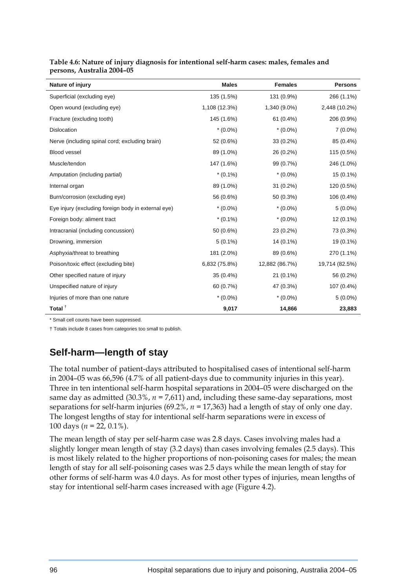| Nature of injury                                    | <b>Males</b>  | <b>Females</b> | <b>Persons</b> |
|-----------------------------------------------------|---------------|----------------|----------------|
| Superficial (excluding eye)                         | 135 (1.5%)    | 131 (0.9%)     | 266 (1.1%)     |
| Open wound (excluding eye)                          | 1,108 (12.3%) | 1,340 (9.0%)   | 2,448 (10.2%)  |
| Fracture (excluding tooth)                          | 145 (1.6%)    | $61(0.4\%)$    | 206 (0.9%)     |
| Dislocation                                         | $*(0.0\%)$    | $*(0.0\%)$     | $7(0.0\%)$     |
| Nerve (including spinal cord; excluding brain)      | 52 (0.6%)     | 33 (0.2%)      | 85 (0.4%)      |
| Blood vessel                                        | 89 (1.0%)     | 26 (0.2%)      | 115 (0.5%)     |
| Muscle/tendon                                       | 147 (1.6%)    | 99 (0.7%)      | 246 (1.0%)     |
| Amputation (including partial)                      | $*(0.1\%)$    | $*(0.0\%)$     | $15(0.1\%)$    |
| Internal organ                                      | 89 (1.0%)     | $31(0.2\%)$    | 120 (0.5%)     |
| Burn/corrosion (excluding eye)                      | 56 (0.6%)     | 50 (0.3%)      | 106 (0.4%)     |
| Eye injury (excluding foreign body in external eye) | $*(0.0\%)$    | $*(0.0\%)$     | $5(0.0\%)$     |
| Foreign body: aliment tract                         | $*(0.1\%)$    | $*(0.0\%)$     | $12(0.1\%)$    |
| Intracranial (including concussion)                 | 50 (0.6%)     | 23 (0.2%)      | 73 (0.3%)      |
| Drowning, immersion                                 | $5(0.1\%)$    | 14 (0.1%)      | 19 (0.1%)      |
| Asphyxia/threat to breathing                        | 181 (2.0%)    | 89 (0.6%)      | 270 (1.1%)     |
| Poison/toxic effect (excluding bite)                | 6,832 (75.8%) | 12,882 (86.7%) | 19,714 (82.5%) |
| Other specified nature of injury                    | 35 (0.4%)     | 21 (0.1%)      | 56 (0.2%)      |
| Unspecified nature of injury                        | 60 (0.7%)     | 47 (0.3%)      | 107 (0.4%)     |
| Injuries of more than one nature                    | $*(0.0\%)$    | $*(0.0\%)$     | $5(0.0\%)$     |
| Total $†$                                           | 9,017         | 14,866         | 23,883         |

|                            | Table 4.6: Nature of injury diagnosis for intentional self-harm cases: males, females and |  |
|----------------------------|-------------------------------------------------------------------------------------------|--|
| persons, Australia 2004–05 |                                                                                           |  |

\* Small cell counts have been suppressed.

† Totals include 8 cases from categories too small to publish.

## **Self-harm—length of stay**

The total number of patient-days attributed to hospitalised cases of intentional self-harm in 2004–05 was 66,596 (4.7% of all patient-days due to community injuries in this year). Three in ten intentional self-harm hospital separations in 2004–05 were discharged on the same day as admitted  $(30.3\%, n = 7.611)$  and, including these same-day separations, most separations for self-harm injuries (69.2%, *n =* 17,363) had a length of stay of only one day. The longest lengths of stay for intentional self-harm separations were in excess of 100 days (*n =* 22, 0.1%).

The mean length of stay per self-harm case was 2.8 days. Cases involving males had a slightly longer mean length of stay (3.2 days) than cases involving females (2.5 days). This is most likely related to the higher proportions of non-poisoning cases for males; the mean length of stay for all self-poisoning cases was 2.5 days while the mean length of stay for other forms of self-harm was 4.0 days. As for most other types of injuries, mean lengths of stay for intentional self-harm cases increased with age (Figure 4.2).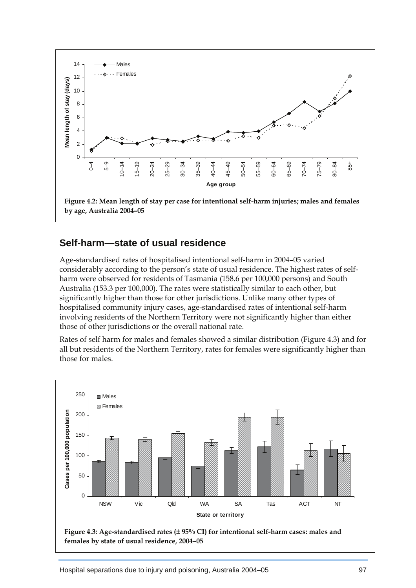

#### **Self-harm—state of usual residence**

Age-standardised rates of hospitalised intentional self-harm in 2004–05 varied considerably according to the person's state of usual residence. The highest rates of selfharm were observed for residents of Tasmania (158.6 per 100,000 persons) and South Australia (153.3 per 100,000). The rates were statistically similar to each other, but significantly higher than those for other jurisdictions. Unlike many other types of hospitalised community injury cases, age-standardised rates of intentional self-harm involving residents of the Northern Territory were not significantly higher than either those of other jurisdictions or the overall national rate.

Rates of self harm for males and females showed a similar distribution (Figure 4.3) and for all but residents of the Northern Territory, rates for females were significantly higher than those for males.

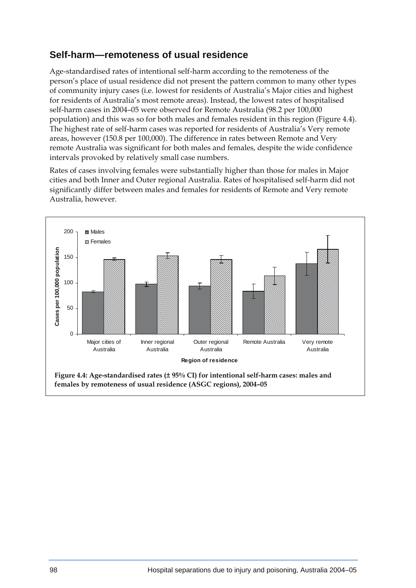#### **Self-harm—remoteness of usual residence**

Age-standardised rates of intentional self-harm according to the remoteness of the person's place of usual residence did not present the pattern common to many other types of community injury cases (i.e. lowest for residents of Australia's Major cities and highest for residents of Australia's most remote areas). Instead, the lowest rates of hospitalised self-harm cases in 2004–05 were observed for Remote Australia (98.2 per 100,000 population) and this was so for both males and females resident in this region (Figure 4.4). The highest rate of self-harm cases was reported for residents of Australia's Very remote areas, however (150.8 per 100,000). The difference in rates between Remote and Very remote Australia was significant for both males and females, despite the wide confidence intervals provoked by relatively small case numbers.

Rates of cases involving females were substantially higher than those for males in Major cities and both Inner and Outer regional Australia. Rates of hospitalised self-harm did not significantly differ between males and females for residents of Remote and Very remote Australia, however.

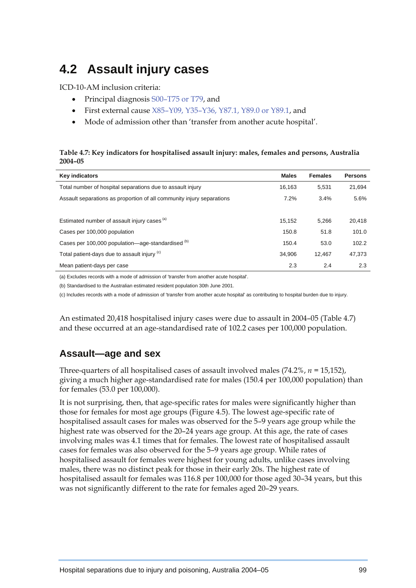## **4.2 Assault injury cases**

ICD-10-AM inclusion criteria:

- Principal diagnosis S00–T75 or T79, and
- First external cause X85–Y09, Y35–Y36, Y87.1, Y89.0 or Y89.1, and
- Mode of admission other than 'transfer from another acute hospital'.

#### **Table 4.7: Key indicators for hospitalised assault injury: males, females and persons, Australia 2004–05**

| <b>Key indicators</b>                                                 | <b>Males</b> | <b>Females</b> | <b>Persons</b> |
|-----------------------------------------------------------------------|--------------|----------------|----------------|
| Total number of hospital separations due to assault injury            | 16.163       | 5.531          | 21.694         |
| Assault separations as proportion of all community injury separations | $7.2\%$      | $3.4\%$        | 5.6%           |
|                                                                       |              |                |                |
| Estimated number of assault injury cases (a)                          | 15.152       | 5.266          | 20.418         |
| Cases per 100,000 population                                          | 150.8        | 51.8           | 101.0          |
| Cases per 100,000 population—age-standardised (b)                     | 150.4        | 53.0           | 102.2          |
| Total patient-days due to assault injury (c)                          | 34.906       | 12.467         | 47,373         |
| Mean patient-days per case                                            | 2.3          | 2.4            | 2.3            |

(a) Excludes records with a mode of admission of 'transfer from another acute hospital'.

(b) Standardised to the Australian estimated resident population 30th June 2001.

(c) Includes records with a mode of admission of 'transfer from another acute hospital' as contributing to hospital burden due to injury.

An estimated 20,418 hospitalised injury cases were due to assault in 2004–05 (Table 4.7) and these occurred at an age-standardised rate of 102.2 cases per 100,000 population.

#### **Assault—age and sex**

Three-quarters of all hospitalised cases of assault involved males (74.2%, *n =* 15,152), giving a much higher age-standardised rate for males (150.4 per 100,000 population) than for females (53.0 per 100,000).

It is not surprising, then, that age-specific rates for males were significantly higher than those for females for most age groups (Figure 4.5). The lowest age-specific rate of hospitalised assault cases for males was observed for the 5–9 years age group while the highest rate was observed for the 20–24 years age group. At this age, the rate of cases involving males was 4.1 times that for females. The lowest rate of hospitalised assault cases for females was also observed for the 5–9 years age group. While rates of hospitalised assault for females were highest for young adults, unlike cases involving males, there was no distinct peak for those in their early 20s. The highest rate of hospitalised assault for females was 116.8 per 100,000 for those aged 30–34 years, but this was not significantly different to the rate for females aged 20–29 years.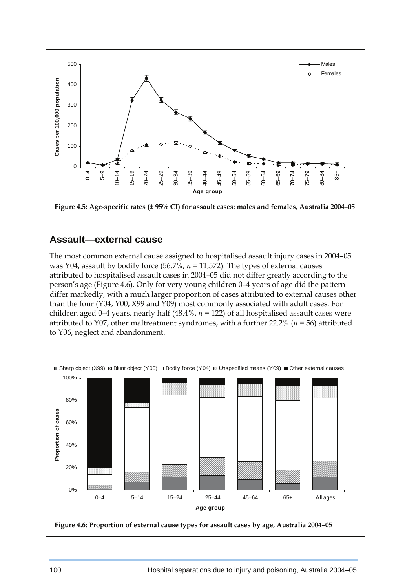

#### **Assault—external cause**

The most common external cause assigned to hospitalised assault injury cases in 2004–05 was Y04, assault by bodily force (56.7%, *n =* 11,572). The types of external causes attributed to hospitalised assault cases in 2004–05 did not differ greatly according to the person's age (Figure 4.6). Only for very young children 0–4 years of age did the pattern differ markedly, with a much larger proportion of cases attributed to external causes other than the four (Y04, Y00, X99 and Y09) most commonly associated with adult cases. For children aged 0–4 years, nearly half (48.4%, *n =* 122) of all hospitalised assault cases were attributed to Y07, other maltreatment syndromes, with a further 22.2% (*n =* 56) attributed to Y06, neglect and abandonment.

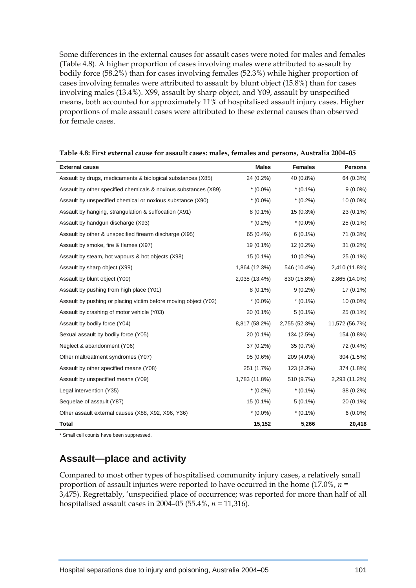Some differences in the external causes for assault cases were noted for males and females (Table 4.8). A higher proportion of cases involving males were attributed to assault by bodily force (58.2%) than for cases involving females (52.3%) while higher proportion of cases involving females were attributed to assault by blunt object (15.8%) than for cases involving males (13.4%). X99, assault by sharp object, and Y09, assault by unspecified means, both accounted for approximately 11% of hospitalised assault injury cases. Higher proportions of male assault cases were attributed to these external causes than observed for female cases.

| <b>External cause</b>                                           | <b>Males</b>  | <b>Females</b> | <b>Persons</b> |
|-----------------------------------------------------------------|---------------|----------------|----------------|
| Assault by drugs, medicaments & biological substances (X85)     | 24 (0.2%)     | 40 (0.8%)      | 64 (0.3%)      |
| Assault by other specified chemicals & noxious substances (X89) | $*(0.0\%)$    | $*(0.1\%)$     | $9(0.0\%)$     |
| Assault by unspecified chemical or noxious substance (X90)      | $*(0.0\%)$    | $*(0.2\%)$     | 10 (0.0%)      |
| Assault by hanging, strangulation & suffocation (X91)           | $8(0.1\%)$    | 15 (0.3%)      | 23 (0.1%)      |
| Assault by handgun discharge (X93)                              | $*(0.2\%)$    | $*(0.0\%)$     | 25 (0.1%)      |
| Assault by other & unspecified firearm discharge (X95)          | 65 (0.4%)     | $6(0.1\%)$     | 71 (0.3%)      |
| Assault by smoke, fire & flames (X97)                           | 19 (0.1%)     | 12 (0.2%)      | $31(0.2\%)$    |
| Assault by steam, hot vapours & hot objects (X98)               | 15 (0.1%)     | $10(0.2\%)$    | 25 (0.1%)      |
| Assault by sharp object (X99)                                   | 1,864 (12.3%) | 546 (10.4%)    | 2,410 (11.8%)  |
| Assault by blunt object (Y00)                                   | 2,035 (13.4%) | 830 (15.8%)    | 2,865 (14.0%)  |
| Assault by pushing from high place (Y01)                        | $8(0.1\%)$    | $9(0.2\%)$     | 17 (0.1%)      |
| Assault by pushing or placing victim before moving object (Y02) | $*(0.0\%)$    | $*(0.1\%)$     | $10(0.0\%)$    |
| Assault by crashing of motor vehicle (Y03)                      | 20 (0.1%)     | $5(0.1\%)$     | 25 (0.1%)      |
| Assault by bodily force (Y04)                                   | 8,817 (58.2%) | 2,755 (52.3%)  | 11,572 (56.7%) |
| Sexual assault by bodily force (Y05)                            | $20(0.1\%)$   | 134 (2.5%)     | 154 (0.8%)     |
| Neglect & abandonment (Y06)                                     | 37 (0.2%)     | 35 (0.7%)      | 72 (0.4%)      |
| Other maltreatment syndromes (Y07)                              | 95 (0.6%)     | 209 (4.0%)     | 304 (1.5%)     |
| Assault by other specified means (Y08)                          | 251 (1.7%)    | 123 (2.3%)     | 374 (1.8%)     |
| Assault by unspecified means (Y09)                              | 1,783 (11.8%) | 510 (9.7%)     | 2,293 (11.2%)  |
| Legal intervention (Y35)                                        | $*(0.2\%)$    | $*(0.1\%)$     | 38 (0.2%)      |
| Sequelae of assault (Y87)                                       | 15 (0.1%)     | $5(0.1\%)$     | 20 (0.1%)      |
| Other assault external causes (X88, X92, X96, Y36)              | $*(0.0\%)$    | $*(0.1\%)$     | $6(0.0\%)$     |
| <b>Total</b>                                                    | 15,152        | 5,266          | 20,418         |

|  | Table 4.8: First external cause for assault cases: males, females and persons, Australia 2004-05 |
|--|--------------------------------------------------------------------------------------------------|
|  |                                                                                                  |

\* Small cell counts have been suppressed.

#### **Assault—place and activity**

Compared to most other types of hospitalised community injury cases, a relatively small proportion of assault injuries were reported to have occurred in the home (17.0%, *n =*  3,475). Regrettably, 'unspecified place of occurrence; was reported for more than half of all hospitalised assault cases in 2004–05 (55.4%, *n =* 11,316).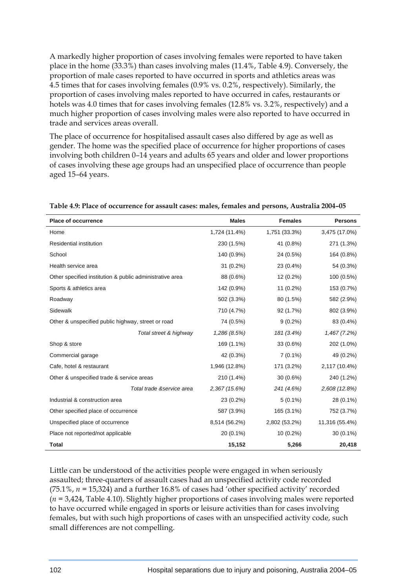A markedly higher proportion of cases involving females were reported to have taken place in the home (33.3%) than cases involving males (11.4%, Table 4.9). Conversely, the proportion of male cases reported to have occurred in sports and athletics areas was 4.5 times that for cases involving females (0.9% vs. 0.2%, respectively). Similarly, the proportion of cases involving males reported to have occurred in cafes, restaurants or hotels was 4.0 times that for cases involving females (12.8% vs. 3.2%, respectively) and a much higher proportion of cases involving males were also reported to have occurred in trade and services areas overall.

The place of occurrence for hospitalised assault cases also differed by age as well as gender. The home was the specified place of occurrence for higher proportions of cases involving both children 0–14 years and adults 65 years and older and lower proportions of cases involving these age groups had an unspecified place of occurrence than people aged 15–64 years.

| <b>Place of occurrence</b>                               | <b>Males</b>  | <b>Females</b> | <b>Persons</b> |
|----------------------------------------------------------|---------------|----------------|----------------|
| Home                                                     | 1,724 (11.4%) | 1,751 (33.3%)  | 3,475 (17.0%)  |
| Residential institution                                  | 230 (1.5%)    | 41 (0.8%)      | 271 (1.3%)     |
| School                                                   | 140 (0.9%)    | 24 (0.5%)      | 164 (0.8%)     |
| Health service area                                      | 31 (0.2%)     | 23 (0.4%)      | 54 (0.3%)      |
| Other specified institution & public administrative area | 88 (0.6%)     | 12 (0.2%)      | 100 (0.5%)     |
| Sports & athletics area                                  | 142 (0.9%)    | 11 (0.2%)      | 153 (0.7%)     |
| Roadway                                                  | 502 (3.3%)    | 80 (1.5%)      | 582 (2.9%)     |
| Sidewalk                                                 | 710 (4.7%)    | 92 (1.7%)      | 802 (3.9%)     |
| Other & unspecified public highway, street or road       | 74 (0.5%)     | $9(0.2\%)$     | 83 (0.4%)      |
| Total street & highway                                   | 1,286 (8.5%)  | 181 (3.4%)     | 1,467 (7.2%)   |
| Shop & store                                             | 169 (1.1%)    | 33 (0.6%)      | 202 (1.0%)     |
| Commercial garage                                        | 42 (0.3%)     | $7(0.1\%)$     | 49 (0.2%)      |
| Cafe, hotel & restaurant                                 | 1,946 (12.8%) | 171 (3.2%)     | 2,117 (10.4%)  |
| Other & unspecified trade & service areas                | 210 (1.4%)    | $30(0.6\%)$    | 240 (1.2%)     |
| Total trade &service area                                | 2,367 (15.6%) | 241 (4.6%)     | 2,608 (12.8%)  |
| Industrial & construction area                           | 23 (0.2%)     | $5(0.1\%)$     | 28 (0.1%)      |
| Other specified place of occurrence                      | 587 (3.9%)    | 165 (3.1%)     | 752 (3.7%)     |
| Unspecified place of occurrence                          | 8,514 (56.2%) | 2,802 (53.2%)  | 11,316 (55.4%) |
| Place not reported/not applicable                        | 20 (0.1%)     | 10 (0.2%)      | $30(0.1\%)$    |
| <b>Total</b>                                             | 15,152        | 5,266          | 20,418         |

**Table 4.9: Place of occurrence for assault cases: males, females and persons, Australia 2004–05** 

Little can be understood of the activities people were engaged in when seriously assaulted; three-quarters of assault cases had an unspecified activity code recorded (75.1%, *n =* 15,324) and a further 16.8% of cases had 'other specified activity' recorded (*n =* 3,424, Table 4.10). Slightly higher proportions of cases involving males were reported to have occurred while engaged in sports or leisure activities than for cases involving females, but with such high proportions of cases with an unspecified activity code, such small differences are not compelling.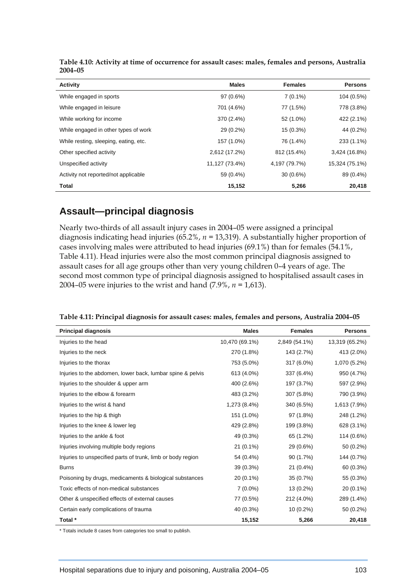| <b>Activity</b>                       | <b>Males</b>   | <b>Females</b> | <b>Persons</b> |
|---------------------------------------|----------------|----------------|----------------|
| While engaged in sports               | 97 (0.6%)      | $7(0.1\%)$     | 104 (0.5%)     |
| While engaged in leisure              | 701 (4.6%)     | 77 (1.5%)      | 778 (3.8%)     |
| While working for income              | 370 (2.4%)     | 52 (1.0%)      | 422 (2.1%)     |
| While engaged in other types of work  | 29 (0.2%)      | $15(0.3\%)$    | 44 (0.2%)      |
| While resting, sleeping, eating, etc. | 157 (1.0%)     | 76 (1.4%)      | 233 (1.1%)     |
| Other specified activity              | 2,612 (17.2%)  | 812 (15.4%)    | 3,424 (16.8%)  |
| Unspecified activity                  | 11,127 (73.4%) | 4,197 (79.7%)  | 15,324 (75.1%) |
| Activity not reported/not applicable  | 59 (0.4%)      | $30(0.6\%)$    | 89 (0.4%)      |
| <b>Total</b>                          | 15,152         | 5,266          | 20,418         |

**Table 4.10: Activity at time of occurrence for assault cases: males, females and persons, Australia 2004–05** 

#### **Assault—principal diagnosis**

Nearly two-thirds of all assault injury cases in 2004–05 were assigned a principal diagnosis indicating head injuries (65.2%, *n =* 13,319). A substantially higher proportion of cases involving males were attributed to head injuries (69.1%) than for females (54.1%, Table 4.11). Head injuries were also the most common principal diagnosis assigned to assault cases for all age groups other than very young children 0–4 years of age. The second most common type of principal diagnosis assigned to hospitalised assault cases in 2004–05 were injuries to the wrist and hand (7.9%, *n =* 1,613).

| <b>Principal diagnosis</b>                                  | <b>Males</b>   | <b>Females</b> | <b>Persons</b> |
|-------------------------------------------------------------|----------------|----------------|----------------|
| Injuries to the head                                        | 10,470 (69.1%) | 2,849 (54.1%)  | 13,319 (65.2%) |
| Injuries to the neck                                        | 270 (1.8%)     | 143 (2.7%)     | 413 (2.0%)     |
| Injuries to the thorax                                      | 753 (5.0%)     | 317 (6.0%)     | 1,070 (5.2%)   |
| Injuries to the abdomen, lower back, lumbar spine & pelvis  | 613 (4.0%)     | 337 (6.4%)     | 950 (4.7%)     |
| Injuries to the shoulder & upper arm                        | 400 (2.6%)     | 197 (3.7%)     | 597 (2.9%)     |
| Injuries to the elbow & forearm                             | 483 (3.2%)     | 307 (5.8%)     | 790 (3.9%)     |
| Injuries to the wrist & hand                                | 1,273 (8.4%)   | 340 (6.5%)     | 1,613 (7.9%)   |
| Injuries to the hip & thigh                                 | 151 (1.0%)     | 97 (1.8%)      | 248 (1.2%)     |
| Injuries to the knee & lower leg                            | 429 (2.8%)     | 199 (3.8%)     | 628 (3.1%)     |
| Injuries to the ankle & foot                                | 49 (0.3%)      | 65 (1.2%)      | 114 (0.6%)     |
| Injuries involving multiple body regions                    | $21(0.1\%)$    | 29 (0.6%)      | 50 (0.2%)      |
| Injuries to unspecified parts of trunk, limb or body region | 54 (0.4%)      | 90 (1.7%)      | 144 (0.7%)     |
| <b>Burns</b>                                                | 39 (0.3%)      | $21(0.4\%)$    | 60 (0.3%)      |
| Poisoning by drugs, medicaments & biological substances     | $20(0.1\%)$    | 35 (0.7%)      | 55 (0.3%)      |
| Toxic effects of non-medical substances                     | $7(0.0\%)$     | 13 (0.2%)      | $20(0.1\%)$    |
| Other & unspecified effects of external causes              | 77 (0.5%)      | 212 (4.0%)     | 289 (1.4%)     |
| Certain early complications of trauma                       | 40 (0.3%)      | $10(0.2\%)$    | 50 (0.2%)      |
| Total *                                                     | 15,152         | 5,266          | 20,418         |

**Table 4.11: Principal diagnosis for assault cases: males, females and persons, Australia 2004–05** 

\* Totals include 8 cases from categories too small to publish.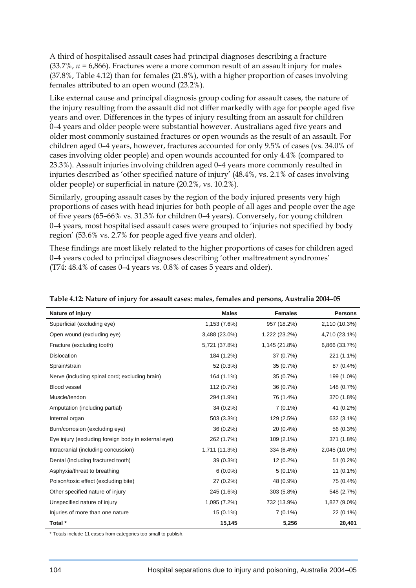A third of hospitalised assault cases had principal diagnoses describing a fracture (33.7%, *n =* 6,866). Fractures were a more common result of an assault injury for males (37.8%, Table 4.12) than for females (21.8%), with a higher proportion of cases involving females attributed to an open wound (23.2%).

Like external cause and principal diagnosis group coding for assault cases, the nature of the injury resulting from the assault did not differ markedly with age for people aged five years and over. Differences in the types of injury resulting from an assault for children 0–4 years and older people were substantial however. Australians aged five years and older most commonly sustained fractures or open wounds as the result of an assault. For children aged 0–4 years, however, fractures accounted for only 9.5% of cases (vs. 34.0% of cases involving older people) and open wounds accounted for only 4.4% (compared to 23.3%). Assault injuries involving children aged 0–4 years more commonly resulted in injuries described as 'other specified nature of injury' (48.4%, vs. 2.1% of cases involving older people) or superficial in nature (20.2%, vs. 10.2%).

Similarly, grouping assault cases by the region of the body injured presents very high proportions of cases with head injuries for both people of all ages and people over the age of five years (65–66% vs. 31.3% for children 0–4 years). Conversely, for young children 0–4 years, most hospitalised assault cases were grouped to 'injuries not specified by body region' (53.6% vs. 2.7% for people aged five years and older).

These findings are most likely related to the higher proportions of cases for children aged 0–4 years coded to principal diagnoses describing 'other maltreatment syndromes' (T74: 48.4% of cases 0–4 years vs. 0.8% of cases 5 years and older).

| Nature of injury                                    | <b>Males</b>  | <b>Females</b> | <b>Persons</b> |
|-----------------------------------------------------|---------------|----------------|----------------|
| Superficial (excluding eye)                         | 1,153 (7.6%)  | 957 (18.2%)    | 2,110 (10.3%)  |
| Open wound (excluding eye)                          | 3,488 (23.0%) | 1,222 (23.2%)  | 4,710 (23.1%)  |
| Fracture (excluding tooth)                          | 5,721 (37.8%) | 1,145 (21.8%)  | 6,866 (33.7%)  |
| Dislocation                                         | 184 (1.2%)    | 37 (0.7%)      | 221 (1.1%)     |
| Sprain/strain                                       | 52 (0.3%)     | 35 (0.7%)      | 87 (0.4%)      |
| Nerve (including spinal cord; excluding brain)      | 164 (1.1%)    | 35 (0.7%)      | 199 (1.0%)     |
| Blood vessel                                        | 112 (0.7%)    | 36 (0.7%)      | 148 (0.7%)     |
| Muscle/tendon                                       | 294 (1.9%)    | 76 (1.4%)      | 370 (1.8%)     |
| Amputation (including partial)                      | $34(0.2\%)$   | $7(0.1\%)$     | 41 (0.2%)      |
| Internal organ                                      | 503 (3.3%)    | 129 (2.5%)     | 632 (3.1%)     |
| Burn/corrosion (excluding eye)                      | $36(0.2\%)$   | 20 (0.4%)      | 56 (0.3%)      |
| Eye injury (excluding foreign body in external eye) | 262 (1.7%)    | 109 (2.1%)     | 371 (1.8%)     |
| Intracranial (including concussion)                 | 1,711 (11.3%) | 334 (6.4%)     | 2,045 (10.0%)  |
| Dental (including fractured tooth)                  | 39 (0.3%)     | 12 (0.2%)      | 51 (0.2%)      |
| Asphyxia/threat to breathing                        | $6(0.0\%)$    | $5(0.1\%)$     | $11(0.1\%)$    |
| Poison/toxic effect (excluding bite)                | 27 (0.2%)     | 48 (0.9%)      | 75 (0.4%)      |
| Other specified nature of injury                    | 245 (1.6%)    | 303 (5.8%)     | 548 (2.7%)     |
| Unspecified nature of injury                        | 1,095 (7.2%)  | 732 (13.9%)    | 1,827 (9.0%)   |
| Injuries of more than one nature                    | $15(0.1\%)$   | $7(0.1\%)$     | $22(0.1\%)$    |
| Total *                                             | 15,145        | 5,256          | 20,401         |

**Table 4.12: Nature of injury for assault cases: males, females and persons, Australia 2004–05** 

\* Totals include 11 cases from categories too small to publish.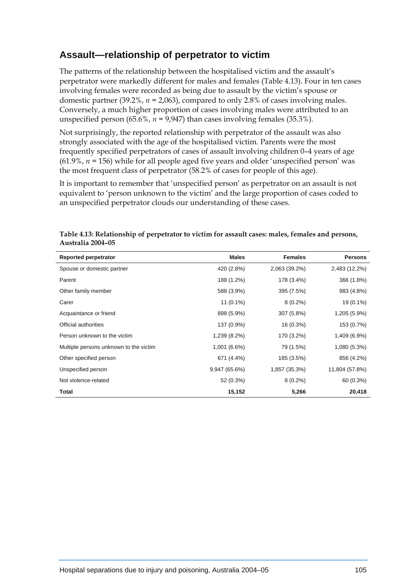## **Assault—relationship of perpetrator to victim**

The patterns of the relationship between the hospitalised victim and the assault's perpetrator were markedly different for males and females (Table 4.13). Four in ten cases involving females were recorded as being due to assault by the victim's spouse or domestic partner  $(39.2\%, n = 2.063)$ , compared to only 2.8% of cases involving males. Conversely, a much higher proportion of cases involving males were attributed to an unspecified person  $(65.6\%, n = 9.947)$  than cases involving females  $(35.3\%).$ 

Not surprisingly, the reported relationship with perpetrator of the assault was also strongly associated with the age of the hospitalised victim. Parents were the most frequently specified perpetrators of cases of assault involving children 0–4 years of age (61.9%, *n =* 156) while for all people aged five years and older 'unspecified person' was the most frequent class of perpetrator (58.2% of cases for people of this age).

It is important to remember that 'unspecified person' as perpetrator on an assault is not equivalent to 'person unknown to the victim' and the large proportion of cases coded to an unspecified perpetrator clouds our understanding of these cases.

| Reported perpetrator                   | <b>Males</b>  | <b>Females</b> | <b>Persons</b> |
|----------------------------------------|---------------|----------------|----------------|
| Spouse or domestic partner             | 420 (2.8%)    | 2,063 (39.2%)  | 2,483 (12.2%)  |
| Parent                                 | 188 (1.2%)    | 178 (3.4%)     | 366 (1.8%)     |
| Other family member                    | 588 (3.9%)    | 395 (7.5%)     | 983 (4.8%)     |
| Carer                                  | $11(0.1\%)$   | $8(0.2\%)$     | 19 (0.1%)      |
| Acquaintance or friend                 | 898 (5.9%)    | 307 (5.8%)     | 1,205 (5.9%)   |
| Official authorities                   | 137 (0.9%)    | 16 (0.3%)      | 153 (0.7%)     |
| Person unknown to the victim           | 1,239 (8.2%)  | 170 (3.2%)     | 1,409 (6.9%)   |
| Multiple persons unknown to the victim | 1,001 (6.6%)  | 79 (1.5%)      | 1,080 (5.3%)   |
| Other specified person                 | 671 (4.4%)    | 185 (3.5%)     | 856 (4.2%)     |
| Unspecified person                     | 9,947 (65.6%) | 1,857 (35.3%)  | 11,804 (57.8%) |
| Not violence-related                   | 52 (0.3%)     | $8(0.2\%)$     | 60 (0.3%)      |
| <b>Total</b>                           | 15,152        | 5,266          | 20,418         |

**Table 4.13: Relationship of perpetrator to victim for assault cases: males, females and persons, Australia 2004–05**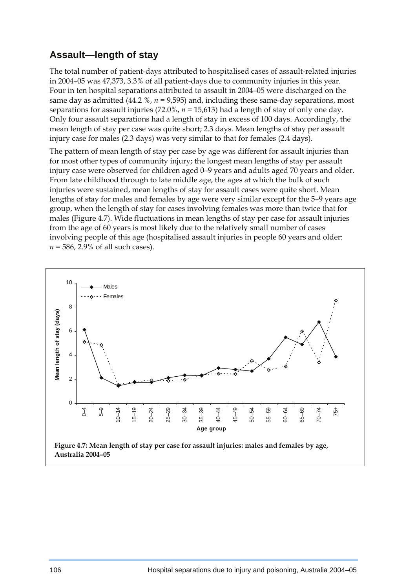## **Assault—length of stay**

The total number of patient-days attributed to hospitalised cases of assault-related injuries in 2004–05 was 47,373, 3.3% of all patient-days due to community injuries in this year. Four in ten hospital separations attributed to assault in 2004–05 were discharged on the same day as admitted  $(44.2 \text{ %}, n = 9.595)$  and, including these same-day separations, most separations for assault injuries (72.0%, *n =* 15,613) had a length of stay of only one day. Only four assault separations had a length of stay in excess of 100 days. Accordingly, the mean length of stay per case was quite short; 2.3 days. Mean lengths of stay per assault injury case for males (2.3 days) was very similar to that for females (2.4 days).

The pattern of mean length of stay per case by age was different for assault injuries than for most other types of community injury; the longest mean lengths of stay per assault injury case were observed for children aged 0–9 years and adults aged 70 years and older. From late childhood through to late middle age, the ages at which the bulk of such injuries were sustained, mean lengths of stay for assault cases were quite short. Mean lengths of stay for males and females by age were very similar except for the 5–9 years age group, when the length of stay for cases involving females was more than twice that for males (Figure 4.7). Wide fluctuations in mean lengths of stay per case for assault injuries from the age of 60 years is most likely due to the relatively small number of cases involving people of this age (hospitalised assault injuries in people 60 years and older: *n =* 586, 2.9% of all such cases).

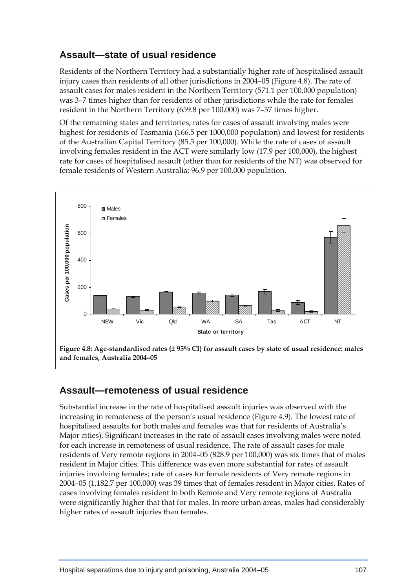## **Assault—state of usual residence**

Residents of the Northern Territory had a substantially higher rate of hospitalised assault injury cases than residents of all other jurisdictions in 2004–05 (Figure 4.8). The rate of assault cases for males resident in the Northern Territory (571.1 per 100,000 population) was 3–7 times higher than for residents of other jurisdictions while the rate for females resident in the Northern Territory (659.8 per 100,000) was 7–37 times higher.

Of the remaining states and territories, rates for cases of assault involving males were highest for residents of Tasmania (166.5 per 1000,000 population) and lowest for residents of the Australian Capital Territory (85.5 per 100,000). While the rate of cases of assault involving females resident in the ACT were similarly low (17.9 per 100,000), the highest rate for cases of hospitalised assault (other than for residents of the NT) was observed for female residents of Western Australia; 96.9 per 100,000 population.



#### **Assault—remoteness of usual residence**

Substantial increase in the rate of hospitalised assault injuries was observed with the increasing in remoteness of the person's usual residence (Figure 4.9). The lowest rate of hospitalised assaults for both males and females was that for residents of Australia's Major cities). Significant increases in the rate of assault cases involving males were noted for each increase in remoteness of usual residence. The rate of assault cases for male residents of Very remote regions in 2004–05 (828.9 per 100,000) was six times that of males resident in Major cities. This difference was even more substantial for rates of assault injuries involving females; rate of cases for female residents of Very remote regions in 2004–05 (1,182.7 per 100,000) was 39 times that of females resident in Major cities. Rates of cases involving females resident in both Remote and Very remote regions of Australia were significantly higher that that for males. In more urban areas, males had considerably higher rates of assault injuries than females.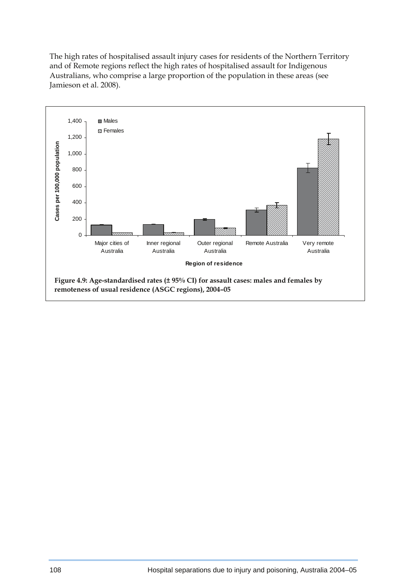The high rates of hospitalised assault injury cases for residents of the Northern Territory and of Remote regions reflect the high rates of hospitalised assault for Indigenous Australians, who comprise a large proportion of the population in these areas (see Jamieson et al. 2008).

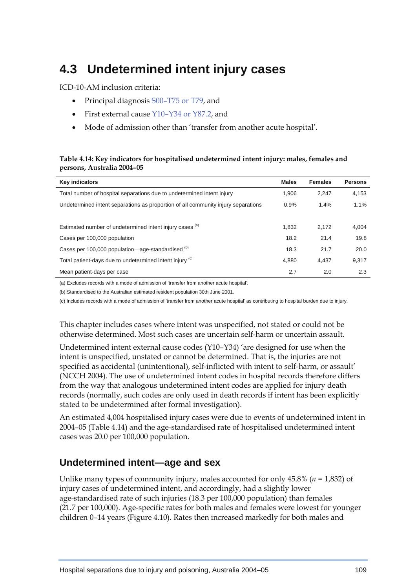## **4.3 Undetermined intent injury cases**

ICD-10-AM inclusion criteria:

- Principal diagnosis S00–T75 or T79, and
- First external cause Y10–Y34 or Y87.2, and
- Mode of admission other than 'transfer from another acute hospital'.

#### **Table 4.14: Key indicators for hospitalised undetermined intent injury: males, females and persons, Australia 2004–05**

| <b>Key indicators</b>                                                             | <b>Males</b> | <b>Females</b> | <b>Persons</b> |
|-----------------------------------------------------------------------------------|--------------|----------------|----------------|
| Total number of hospital separations due to undetermined intent injury            | 1.906        | 2.247          | 4,153          |
| Undetermined intent separations as proportion of all community injury separations | 0.9%         | 1.4%           | 1.1%           |
|                                                                                   |              |                |                |
| Estimated number of undetermined intent injury cases (a)                          | 1.832        | 2.172          | 4,004          |
| Cases per 100,000 population                                                      | 18.2         | 21.4           | 19.8           |
| Cases per 100,000 population—age-standardised (b)                                 | 18.3         | 21.7           | 20.0           |
| Total patient-days due to undetermined intent injury (c)                          | 4.880        | 4.437          | 9,317          |
| Mean patient-days per case                                                        | 2.7          | 2.0            | 2.3            |

(a) Excludes records with a mode of admission of 'transfer from another acute hospital'.

(b) Standardised to the Australian estimated resident population 30th June 2001.

(c) Includes records with a mode of admission of 'transfer from another acute hospital' as contributing to hospital burden due to injury.

This chapter includes cases where intent was unspecified, not stated or could not be otherwise determined. Most such cases are uncertain self-harm or uncertain assault.

Undetermined intent external cause codes (Y10–Y34) 'are designed for use when the intent is unspecified, unstated or cannot be determined. That is, the injuries are not specified as accidental (unintentional), self-inflicted with intent to self-harm, or assault' (NCCH 2004). The use of undetermined intent codes in hospital records therefore differs from the way that analogous undetermined intent codes are applied for injury death records (normally, such codes are only used in death records if intent has been explicitly stated to be undetermined after formal investigation).

An estimated 4,004 hospitalised injury cases were due to events of undetermined intent in 2004–05 (Table 4.14) and the age-standardised rate of hospitalised undetermined intent cases was 20.0 per 100,000 population.

## **Undetermined intent—age and sex**

Unlike many types of community injury, males accounted for only 45.8% (*n =* 1,832) of injury cases of undetermined intent, and accordingly, had a slightly lower age-standardised rate of such injuries (18.3 per 100,000 population) than females (21.7 per 100,000). Age-specific rates for both males and females were lowest for younger children 0–14 years (Figure 4.10). Rates then increased markedly for both males and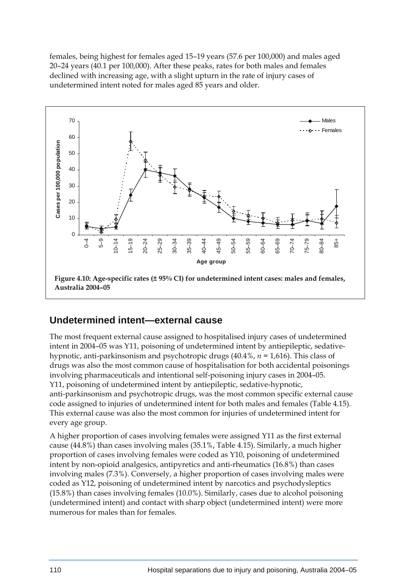females, being highest for females aged 15–19 years (57.6 per 100,000) and males aged 20–24 years (40.1 per 100,000). After these peaks, rates for both males and females declined with increasing age, with a slight upturn in the rate of injury cases of undetermined intent noted for males aged 85 years and older.



#### **Undetermined intent—external cause**

The most frequent external cause assigned to hospitalised injury cases of undetermined intent in 2004–05 was Y11, poisoning of undetermined intent by antiepileptic, sedativehypnotic, anti-parkinsonism and psychotropic drugs (40.4%, *n =* 1,616). This class of drugs was also the most common cause of hospitalisation for both accidental poisonings involving pharmaceuticals and intentional self-poisoning injury cases in 2004–05. Y11, poisoning of undetermined intent by antiepileptic, sedative-hypnotic, anti-parkinsonism and psychotropic drugs, was the most common specific external cause code assigned to injuries of undetermined intent for both males and females (Table 4.15). This external cause was also the most common for injuries of undetermined intent for every age group.

A higher proportion of cases involving females were assigned Y11 as the first external cause (44.8%) than cases involving males (35.1%, Table 4.15). Similarly, a much higher proportion of cases involving females were coded as Y10, poisoning of undetermined intent by non-opioid analgesics, antipyretics and anti-rheumatics (16.8%) than cases involving males (7.3%). Conversely, a higher proportion of cases involving males were coded as Y12, poisoning of undetermined intent by narcotics and psychodysleptics (15.8%) than cases involving females (10.0%). Similarly, cases due to alcohol poisoning (undetermined intent) and contact with sharp object (undetermined intent) were more numerous for males than for females.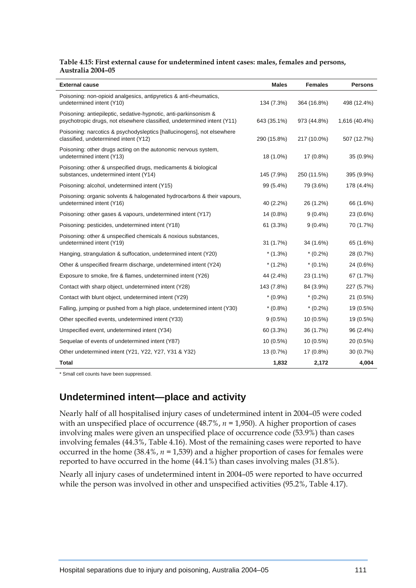#### **Table 4.15: First external cause for undetermined intent cases: males, females and persons, Australia 2004–05**

| <b>External cause</b>                                                                                                                       | <b>Males</b> | <b>Females</b> | <b>Persons</b> |
|---------------------------------------------------------------------------------------------------------------------------------------------|--------------|----------------|----------------|
| Poisoning: non-opioid analgesics, antipyretics & anti-rheumatics,<br>undetermined intent (Y10)                                              | 134 (7.3%)   | 364 (16.8%)    | 498 (12.4%)    |
| Poisoning: antiepileptic, sedative-hypnotic, anti-parkinsonism &<br>psychotropic drugs, not elsewhere classified, undetermined intent (Y11) | 643 (35.1%)  | 973 (44.8%)    | 1,616 (40.4%)  |
| Poisoning: narcotics & psychodysleptics [hallucinogens], not elsewhere<br>classified, undetermined intent (Y12)                             | 290 (15.8%)  | 217 (10.0%)    | 507 (12.7%)    |
| Poisoning: other drugs acting on the autonomic nervous system,<br>undetermined intent (Y13)                                                 | 18 (1.0%)    | 17 (0.8%)      | 35 (0.9%)      |
| Poisoning: other & unspecified drugs, medicaments & biological<br>substances, undetermined intent (Y14)                                     | 145 (7.9%)   | 250 (11.5%)    | 395 (9.9%)     |
| Poisoning: alcohol, undetermined intent (Y15)                                                                                               | 99 (5.4%)    | 79 (3.6%)      | 178 (4.4%)     |
| Poisoning: organic solvents & halogenated hydrocarbons & their vapours,<br>undetermined intent (Y16)                                        | 40 (2.2%)    | 26 (1.2%)      | 66 (1.6%)      |
| Poisoning: other gases & vapours, undetermined intent (Y17)                                                                                 | 14 (0.8%)    | $9(0.4\%)$     | 23 (0.6%)      |
| Poisoning: pesticides, undetermined intent (Y18)                                                                                            | 61 (3.3%)    | $9(0.4\%)$     | 70 (1.7%)      |
| Poisoning: other & unspecified chemicals & noxious substances,<br>undetermined intent (Y19)                                                 | 31 (1.7%)    | 34 (1.6%)      | 65 (1.6%)      |
| Hanging, strangulation & suffocation, undetermined intent (Y20)                                                                             | $*(1.3\%)$   | $*(0.2\%)$     | 28 (0.7%)      |
| Other & unspecified firearm discharge, undetermined intent (Y24)                                                                            | $*(1.2\%)$   | $*(0.1\%)$     | 24 (0.6%)      |
| Exposure to smoke, fire & flames, undetermined intent (Y26)                                                                                 | 44 (2.4%)    | 23 (1.1%)      | 67 (1.7%)      |
| Contact with sharp object, undetermined intent (Y28)                                                                                        | 143 (7.8%)   | 84 (3.9%)      | 227 (5.7%)     |
| Contact with blunt object, undetermined intent (Y29)                                                                                        | $*(0.9\%)$   | $*(0.2\%)$     | 21 (0.5%)      |
| Falling, jumping or pushed from a high place, undetermined intent (Y30)                                                                     | $*(0.8\%)$   | $*(0.2\%)$     | 19 (0.5%)      |
| Other specified events, undetermined intent (Y33)                                                                                           | $9(0.5\%)$   | $10(0.5\%)$    | 19 (0.5%)      |
| Unspecified event, undetermined intent (Y34)                                                                                                | 60 (3.3%)    | 36 (1.7%)      | 96 (2.4%)      |
| Sequelae of events of undetermined intent (Y87)                                                                                             | $10(0.5\%)$  | $10(0.5\%)$    | 20 (0.5%)      |
| Other undetermined intent (Y21, Y22, Y27, Y31 & Y32)                                                                                        | 13 (0.7%)    | 17 (0.8%)      | 30 (0.7%)      |
| Total                                                                                                                                       | 1,832        | 2,172          | 4,004          |

\* Small cell counts have been suppressed.

#### **Undetermined intent—place and activity**

Nearly half of all hospitalised injury cases of undetermined intent in 2004–05 were coded with an unspecified place of occurrence (48.7%, *n =* 1,950). A higher proportion of cases involving males were given an unspecified place of occurrence code (53.9%) than cases involving females (44.3%, Table 4.16). Most of the remaining cases were reported to have occurred in the home (38.4%, *n =* 1,539) and a higher proportion of cases for females were reported to have occurred in the home (44.1%) than cases involving males (31.8%).

Nearly all injury cases of undetermined intent in 2004–05 were reported to have occurred while the person was involved in other and unspecified activities (95.2%, Table 4.17).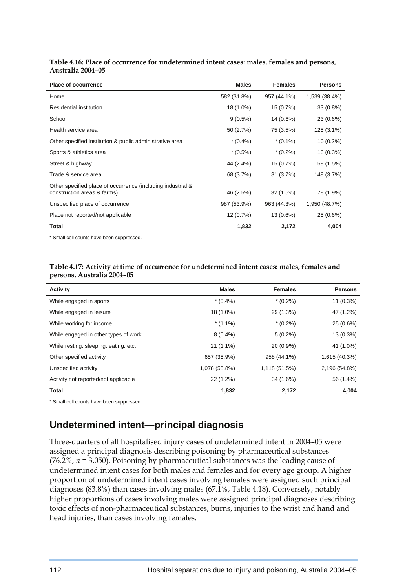| <b>Place of occurrence</b>                                  | <b>Males</b> | <b>Females</b> | <b>Persons</b> |
|-------------------------------------------------------------|--------------|----------------|----------------|
| Home                                                        | 582 (31.8%)  | 957 (44.1%)    | 1,539 (38.4%)  |
| Residential institution                                     | 18 (1.0%)    | 15 (0.7%)      | 33 (0.8%)      |
| School                                                      | $9(0.5\%)$   | 14 (0.6%)      | 23 (0.6%)      |
| Health service area                                         | 50 (2.7%)    | 75 (3.5%)      | 125 (3.1%)     |
| Other specified institution & public administrative area    | $*(0.4\%)$   | $*(0.1\%)$     | $10(0.2\%)$    |
| Sports & athletics area                                     | $*(0.5\%)$   | $*(0.2\%)$     | 13 (0.3%)      |
| Street & highway                                            | 44 (2.4%)    | 15 (0.7%)      | 59 (1.5%)      |
| Trade & service area                                        | 68 (3.7%)    | 81 (3.7%)      | 149 (3.7%)     |
| Other specified place of occurrence (including industrial & |              |                |                |
| construction areas & farms)                                 | 46 (2.5%)    | 32 (1.5%)      | 78 (1.9%)      |
| Unspecified place of occurrence                             | 987 (53.9%)  | 963 (44.3%)    | 1,950 (48.7%)  |
| Place not reported/not applicable                           | 12 (0.7%)    | 13 (0.6%)      | $25(0.6\%)$    |
| <b>Total</b>                                                | 1,832        | 2,172          | 4,004          |

**Table 4.16: Place of occurrence for undetermined intent cases: males, females and persons, Australia 2004–05** 

\* Small cell counts have been suppressed.

| Table 4.17: Activity at time of occurrence for undetermined intent cases: males, females and |
|----------------------------------------------------------------------------------------------|
| persons, Australia 2004–05                                                                   |

| Activity                              | <b>Males</b>  | <b>Females</b> | <b>Persons</b> |
|---------------------------------------|---------------|----------------|----------------|
| While engaged in sports               | $*(0.4\%)$    | $*(0.2\%)$     | $11(0.3\%)$    |
| While engaged in leisure              | 18 (1.0%)     | 29 (1.3%)      | 47 (1.2%)      |
| While working for income              | $*(1.1\%)$    | $*(0.2\%)$     | 25 (0.6%)      |
| While engaged in other types of work  | $8(0.4\%)$    | $5(0.2\%)$     | 13 (0.3%)      |
| While resting, sleeping, eating, etc. | $21(1.1\%)$   | 20 (0.9%)      | 41 (1.0%)      |
| Other specified activity              | 657 (35.9%)   | 958 (44.1%)    | 1,615 (40.3%)  |
| Unspecified activity                  | 1,078 (58.8%) | 1,118 (51.5%)  | 2,196 (54.8%)  |
| Activity not reported/not applicable  | 22 (1.2%)     | 34 (1.6%)      | 56 (1.4%)      |
| <b>Total</b>                          | 1,832         | 2,172          | 4,004          |

\* Small cell counts have been suppressed.

## **Undetermined intent—principal diagnosis**

Three-quarters of all hospitalised injury cases of undetermined intent in 2004–05 were assigned a principal diagnosis describing poisoning by pharmaceutical substances (76.2%, *n =* 3,050). Poisoning by pharmaceutical substances was the leading cause of undetermined intent cases for both males and females and for every age group. A higher proportion of undetermined intent cases involving females were assigned such principal diagnoses (83.8%) than cases involving males (67.1%, Table 4.18). Conversely, notably higher proportions of cases involving males were assigned principal diagnoses describing toxic effects of non-pharmaceutical substances, burns, injuries to the wrist and hand and head injuries, than cases involving females.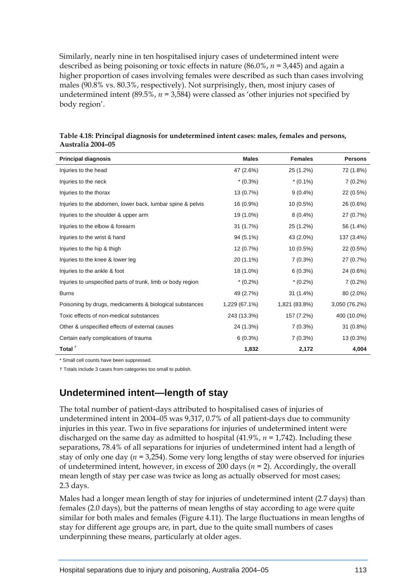Similarly, nearly nine in ten hospitalised injury cases of undetermined intent were described as being poisoning or toxic effects in nature (86.0%, *n =* 3,445) and again a higher proportion of cases involving females were described as such than cases involving males (90.8% vs. 80.3%, respectively). Not surprisingly, then, most injury cases of undetermined intent  $(89.5\%, n = 3.584)$  were classed as 'other injuries not specified by body region'.

| <b>Principal diagnosis</b>                                  | <b>Males</b>  | <b>Females</b> | <b>Persons</b> |
|-------------------------------------------------------------|---------------|----------------|----------------|
| Injuries to the head                                        | 47 (2.6%)     | 25 (1.2%)      | 72 (1.8%)      |
| Injuries to the neck                                        | $*(0.3\%)$    | $*(0.1\%)$     | $7(0.2\%)$     |
| Injuries to the thorax                                      | 13 (0.7%)     | $9(0.4\%)$     | 22 (0.5%)      |
| Injuries to the abdomen, lower back, lumbar spine & pelvis  | 16 (0.9%)     | $10(0.5\%)$    | 26 (0.6%)      |
| Injuries to the shoulder & upper arm                        | 19 (1.0%)     | $8(0.4\%)$     | 27 (0.7%)      |
| Injuries to the elbow & forearm                             | 31 (1.7%)     | 25 (1.2%)      | 56 (1.4%)      |
| Injuries to the wrist & hand                                | 94 (5.1%)     | 43 (2.0%)      | 137 (3.4%)     |
| Injuries to the hip & thigh                                 | 12 (0.7%)     | 10 (0.5%)      | $22(0.5\%)$    |
| Injuries to the knee & lower leg                            | 20 (1.1%)     | 7(0.3%)        | 27 (0.7%)      |
| Injuries to the ankle & foot                                | 18 (1.0%)     | 6(0.3%)        | 24 (0.6%)      |
| Injuries to unspecified parts of trunk, limb or body region | $*(0.2\%)$    | $*(0.2\%)$     | $7(0.2\%)$     |
| <b>Burns</b>                                                | 49 (2.7%)     | 31 (1.4%)      | 80 (2.0%)      |
| Poisoning by drugs, medicaments & biological substances     | 1,229 (67.1%) | 1,821 (83.8%)  | 3,050 (76.2%)  |
| Toxic effects of non-medical substances                     | 243 (13.3%)   | 157 (7.2%)     | 400 (10.0%)    |
| Other & unspecified effects of external causes              | 24 (1.3%)     | 7(0.3%)        | $31(0.8\%)$    |
| Certain early complications of trauma                       | 6(0.3%)       | $7(0.3\%)$     | 13 (0.3%)      |
| Total <sup>t</sup>                                          | 1,832         | 2,172          | 4,004          |

**Table 4.18: Principal diagnosis for undetermined intent cases: males, females and persons, Australia 2004–05** 

\* Small cell counts have been suppressed.

† Totals include 3 cases from categories too small to publish.

#### **Undetermined intent—length of stay**

The total number of patient-days attributed to hospitalised cases of injuries of undetermined intent in 2004–05 was 9,317, 0.7% of all patient-days due to community injuries in this year. Two in five separations for injuries of undetermined intent were discharged on the same day as admitted to hospital (41.9%, *n =* 1,742). Including these separations, 78.4% of all separations for injuries of undetermined intent had a length of stay of only one day (*n =* 3,254). Some very long lengths of stay were observed for injuries of undetermined intent, however, in excess of 200 days (*n =* 2). Accordingly, the overall mean length of stay per case was twice as long as actually observed for most cases; 2.3 days.

Males had a longer mean length of stay for injuries of undetermined intent (2.7 days) than females (2.0 days), but the patterns of mean lengths of stay according to age were quite similar for both males and females (Figure 4.11). The large fluctuations in mean lengths of stay for different age groups are, in part, due to the quite small numbers of cases underpinning these means, particularly at older ages.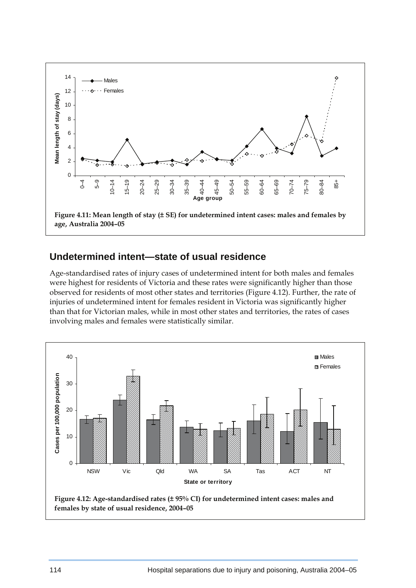

#### **Undetermined intent—state of usual residence**

Age-standardised rates of injury cases of undetermined intent for both males and females were highest for residents of Victoria and these rates were significantly higher than those observed for residents of most other states and territories (Figure 4.12). Further, the rate of injuries of undetermined intent for females resident in Victoria was significantly higher than that for Victorian males, while in most other states and territories, the rates of cases involving males and females were statistically similar.